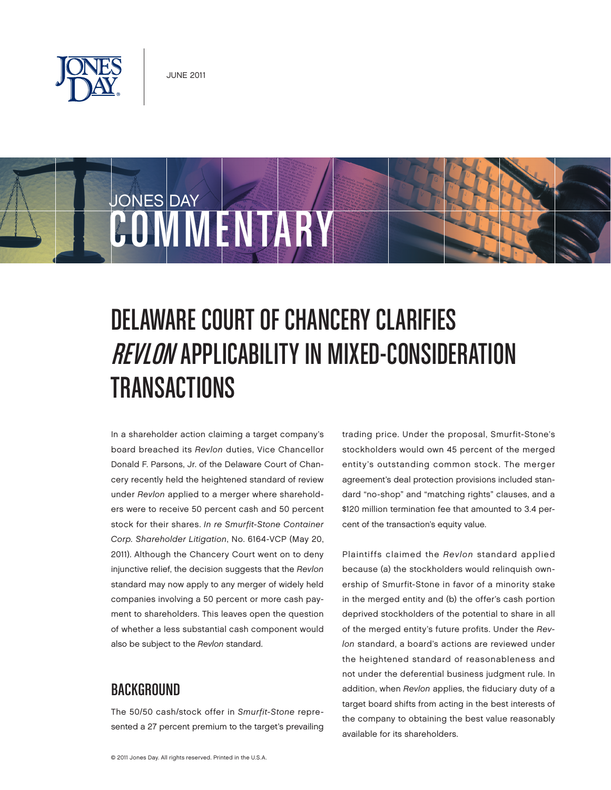

# JONES DAY COMMENTARY

# DELAWARE COURT OF CHANCERY CLARIFIES REVLON APPLICABILITY IN MIXED-CONSIDERATION TRANSACTIONS

In a shareholder action claiming a target company's board breached its Revlon duties, Vice Chancellor Donald F. Parsons, Jr. of the Delaware Court of Chancery recently held the heightened standard of review under Revlon applied to a merger where shareholders were to receive 50 percent cash and 50 percent stock for their shares. In re Smurfit-Stone Container Corp. Shareholder Litigation, No. 6164-VCP (May 20, 2011). Although the Chancery Court went on to deny injunctive relief, the decision suggests that the Revlon standard may now apply to any merger of widely held companies involving a 50 percent or more cash payment to shareholders. This leaves open the question of whether a less substantial cash component would also be subject to the Revlon standard.

## BACKGROUND

The 50/50 cash/stock offer in Smurfit-Stone represented a 27 percent premium to the target's prevailing trading price. Under the proposal, Smurfit-Stone's stockholders would own 45 percent of the merged entity's outstanding common stock. The merger agreement's deal protection provisions included standard "no-shop" and "matching rights" clauses, and a \$120 million termination fee that amounted to 3.4 percent of the transaction's equity value.

Plaintiffs claimed the Revlon standard applied because (a) the stockholders would relinquish ownership of Smurfit-Stone in favor of a minority stake in the merged entity and (b) the offer's cash portion deprived stockholders of the potential to share in all of the merged entity's future profits. Under the Revlon standard, a board's actions are reviewed under the heightened standard of reasonableness and not under the deferential business judgment rule. In addition, when Revlon applies, the fiduciary duty of a target board shifts from acting in the best interests of the company to obtaining the best value reasonably available for its shareholders.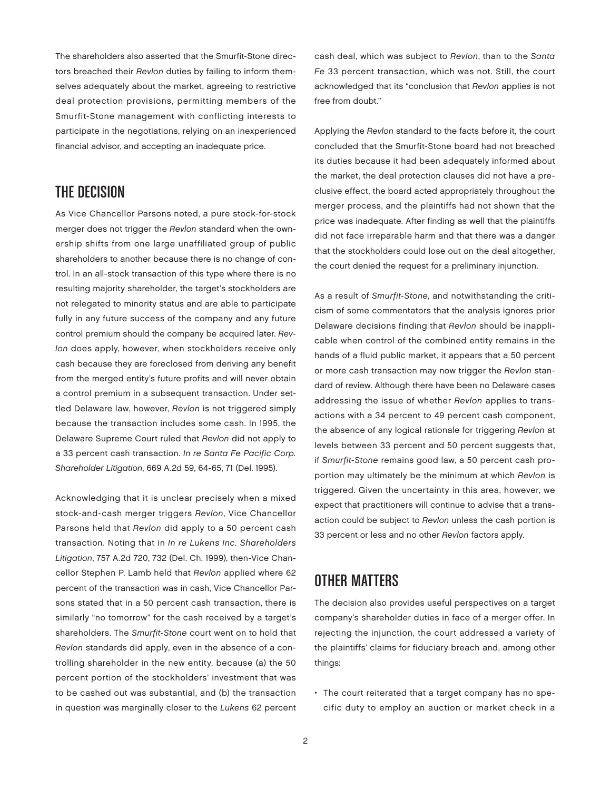The shareholders also asserted that the Smurfit-Stone directors breached their Revlon duties by failing to inform themselves adequately about the market, agreeing to restrictive deal protection provisions, permitting members of the Smurfit-Stone management with conflicting interests to participate in the negotiations, relying on an inexperienced financial advisor, and accepting an inadequate price.

#### THE DECISION

As Vice Chancellor Parsons noted, a pure stock-for-stock merger does not trigger the Revlon standard when the ownership shifts from one large unaffiliated group of public shareholders to another because there is no change of control. In an all-stock transaction of this type where there is no resulting majority shareholder, the target's stockholders are not relegated to minority status and are able to participate fully in any future success of the company and any future control premium should the company be acquired later. Revlon does apply, however, when stockholders receive only cash because they are foreclosed from deriving any benefit from the merged entity's future profits and will never obtain a control premium in a subsequent transaction. Under settled Delaware law, however, Revlon is not triggered simply because the transaction includes some cash. In 1995, the Delaware Supreme Court ruled that Revlon did not apply to a 33 percent cash transaction. In re Santa Fe Pacific Corp. Shareholder Litigation, 669 A.2d 59, 64-65, 71 (Del. 1995).

Acknowledging that it is unclear precisely when a mixed stock-and-cash merger triggers Revlon, Vice Chancellor Parsons held that Revlon did apply to a 50 percent cash transaction. Noting that in In re Lukens Inc. Shareholders Litigation, 757 A.2d 720, 732 (Del. Ch. 1999), then-Vice Chancellor Stephen P. Lamb held that Revlon applied where 62 percent of the transaction was in cash, Vice Chancellor Parsons stated that in a 50 percent cash transaction, there is similarly "no tomorrow" for the cash received by a target's shareholders. The Smurfit-Stone court went on to hold that Revlon standards did apply, even in the absence of a controlling shareholder in the new entity, because (a) the 50 percent portion of the stockholders' investment that was to be cashed out was substantial, and (b) the transaction in question was marginally closer to the Lukens 62 percent

cash deal, which was subject to Revlon, than to the Santa Fe 33 percent transaction, which was not. Still, the court acknowledged that its "conclusion that Revlon applies is not free from doubt."

Applying the Revlon standard to the facts before it, the court concluded that the Smurfit-Stone board had not breached its duties because it had been adequately informed about the market, the deal protection clauses did not have a preclusive effect, the board acted appropriately throughout the merger process, and the plaintiffs had not shown that the price was inadequate. After finding as well that the plaintiffs did not face irreparable harm and that there was a danger that the stockholders could lose out on the deal altogether, the court denied the request for a preliminary injunction.

As a result of Smurfit-Stone, and notwithstanding the criticism of some commentators that the analysis ignores prior Delaware decisions finding that Revlon should be inapplicable when control of the combined entity remains in the hands of a fluid public market, it appears that a 50 percent or more cash transaction may now trigger the Revlon standard of review. Although there have been no Delaware cases addressing the issue of whether Revlon applies to transactions with a 34 percent to 49 percent cash component, the absence of any logical rationale for triggering Revlon at levels between 33 percent and 50 percent suggests that, if Smurfit-Stone remains good law, a 50 percent cash proportion may ultimately be the minimum at which Revlon is triggered. Given the uncertainty in this area, however, we expect that practitioners will continue to advise that a transaction could be subject to Revlon unless the cash portion is 33 percent or less and no other Revlon factors apply.

## OTHER MATTERS

The decision also provides useful perspectives on a target company's shareholder duties in face of a merger offer. In rejecting the injunction, the court addressed a variety of the plaintiffs' claims for fiduciary breach and, among other things:

• The court reiterated that a target company has no specific duty to employ an auction or market check in a